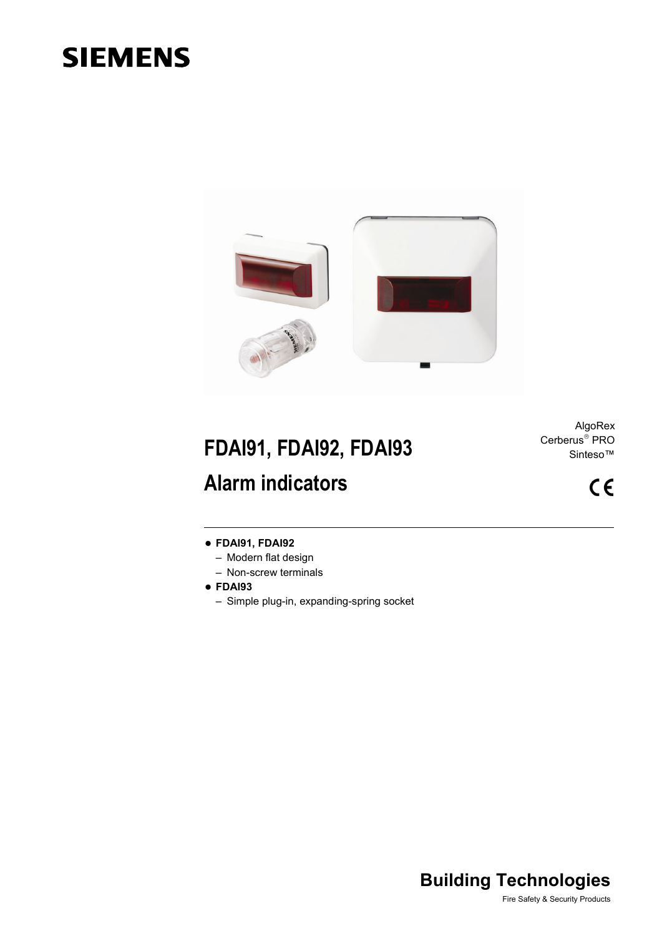# **SIEMENS**



# **FDAI91, FDAI92, FDAI93 Alarm indicators**

AlgoRex Cerberus<sup>®</sup> PRO Sinteso™

 $C \in$ 

## **FDAI91, FDAI92**

- Modern flat design
- Non-screw terminals
- **FDAI93** 
	- Simple plug-in, expanding-spring socket

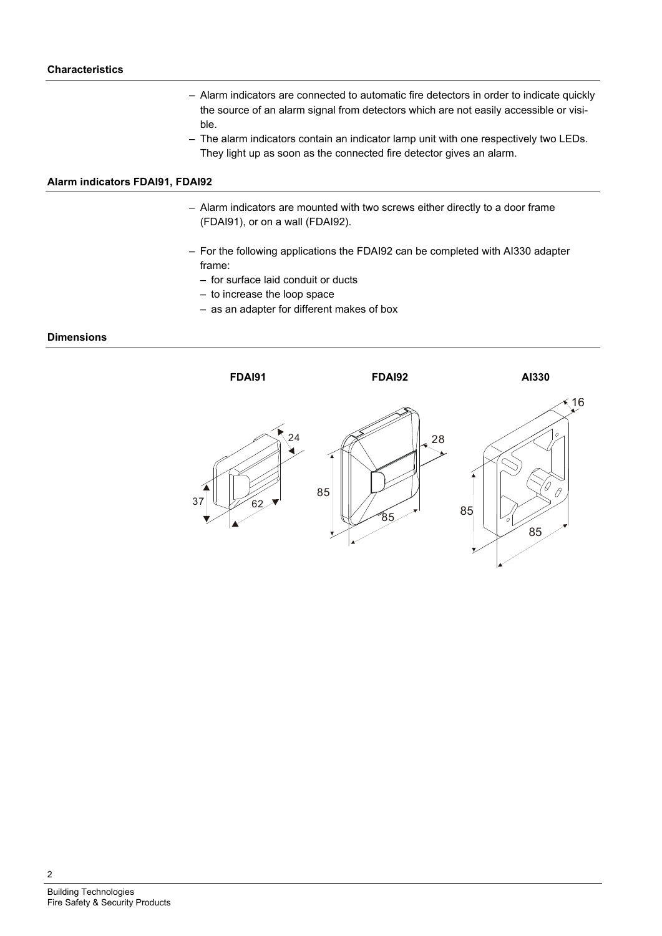- Alarm indicators are connected to automatic fire detectors in order to indicate quickly the source of an alarm signal from detectors which are not easily accessible or visible.
- The alarm indicators contain an indicator lamp unit with one respectively two LEDs. They light up as soon as the connected fire detector gives an alarm.

### **Alarm indicators FDAI91, FDAI92**

- Alarm indicators are mounted with two screws either directly to a door frame (FDAI91), or on a wall (FDAI92).
- For the following applications the FDAI92 can be completed with AI330 adapter frame:
	- for surface laid conduit or ducts
	- to increase the loop space
	- as an adapter for different makes of box

### **Dimensions**



2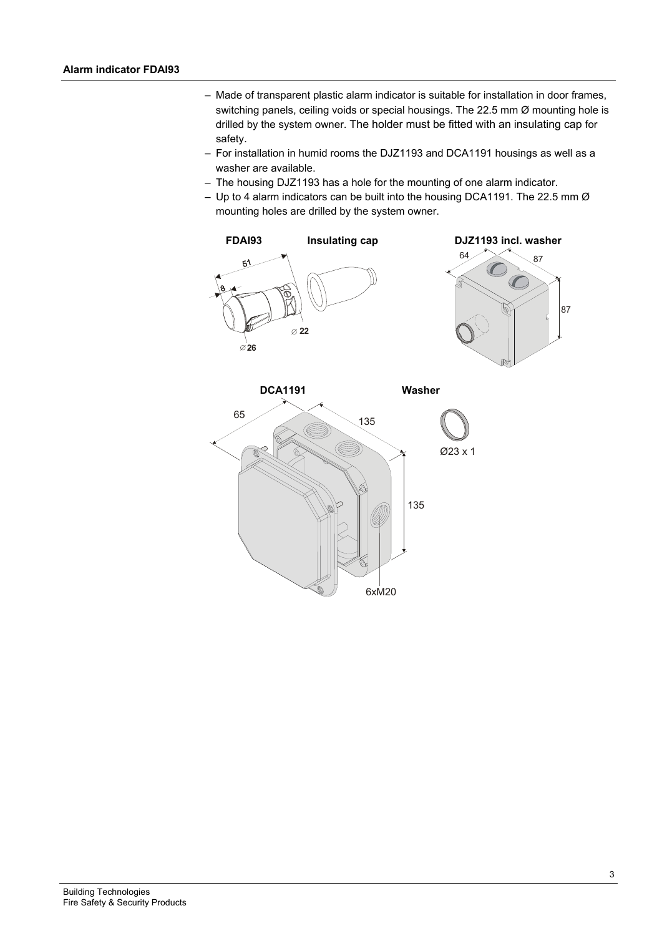- Made of transparent plastic alarm indicator is suitable for installation in door frames, switching panels, ceiling voids or special housings. The 22.5 mm Ø mounting hole is drilled by the system owner. The holder must be fitted with an insulating cap for safety.
- For installation in humid rooms the DJZ1193 and DCA1191 housings as well as a washer are available.
- The housing DJZ1193 has a hole for the mounting of one alarm indicator.
- Up to 4 alarm indicators can be built into the housing DCA1191. The 22.5 mm Ø mounting holes are drilled by the system owner.